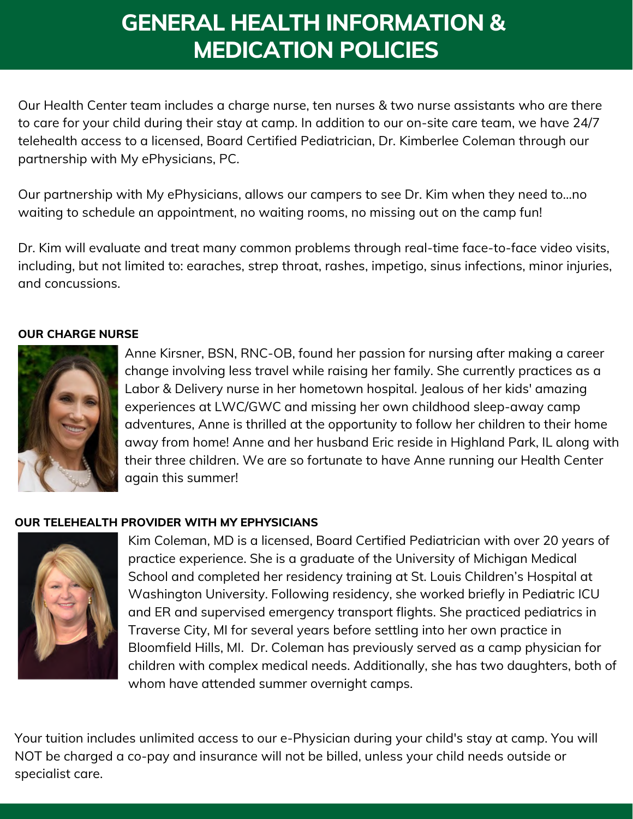# GENERAL HEALTH INFORMATION & MEDICATION POLICIES

Our Health Center team includes a charge nurse, ten nurses & two nurse assistants who are there to care for your child during their stay at camp. In addition to our on-site care team, we have 24/7 telehealth access to a licensed, Board Certified Pediatrician, Dr. Kimberlee Coleman through our partnership with My ePhysicians, PC.

Our partnership with My ePhysicians, allows our campers to see Dr. Kim when they need to…no waiting to schedule an appointment, no waiting rooms, no missing out on the camp fun!

Dr. Kim will evaluate and treat many common problems through real-time face-to-face video visits, including, but not limited to: earaches, strep throat, rashes, impetigo, sinus infections, minor injuries, and concussions.

#### OUR CHARGE NURSE



Anne Kirsner, BSN, RNC-OB, found her passion for nursing after making a career change involving less travel while raising her family. She currently practices as a Labor & Delivery nurse in her hometown hospital. Jealous of her kids' amazing experiences at LWC/GWC and missing her own childhood sleep-away camp adventures, Anne is thrilled at the opportunity to follow her children to their home away from home! Anne and her husband Eric reside in Highland Park, IL along with their three children. We are so fortunate to have Anne running our Health Center again this summer!

#### OUR TELEHEALTH PROVIDER WITH MY EPHYSICIANS



Kim Coleman, MD is a licensed, Board Certified Pediatrician with over 20 years of practice experience. She is a graduate of the University of Michigan Medical School and completed her residency training at St. Louis Children's Hospital at Washington University. Following residency, she worked briefly in Pediatric ICU and ER and supervised emergency transport flights. She practiced pediatrics in Traverse City, MI for several years before settling into her own practice in Bloomfield Hills, MI. Dr. Coleman has previously served as a camp physician for children with complex medical needs. Additionally, she has two daughters, both of whom have attended summer overnight camps.

Your tuition includes unlimited access to our e-Physician during your child's stay at camp. You will NOT be charged a co-pay and insurance will not be billed, unless your child needs outside or specialist care.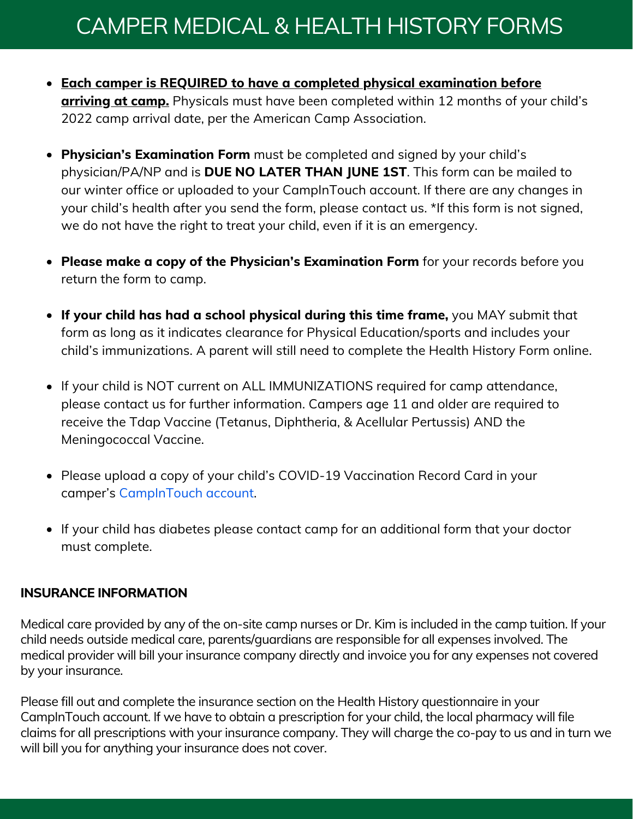# CAMPER MEDICAL & HEALTH HISTORY FORMS

- Each camper is REQUIRED to have a completed physical examination before arriving at camp. Physicals must have been completed within 12 months of your child's 2022 camp arrival date, per the American Camp Association.
- Physician's Examination Form must be completed and signed by your child's physician/PA/NP and is DUE NO LATER THAN JUNE 1ST. This form can be mailed to our winter office or uploaded to your CampInTouch account. If there are any changes in your child's health after you send the form, please contact us. \*If this form is not signed, we do not have the right to treat your child, even if it is an emergency.
- Please make a copy of the Physician's Examination Form for your records before you return the form to camp.
- $\bullet$  If your child has had a school physical during this time frame, you MAY submit that form as long as it indicates clearance for Physical Education/sports and includes your child's immunizations. A parent will still need to complete the Health History Form online.
- If your child is NOT current on ALL IMMUNIZATIONS required for camp attendance, please contact us for further information. Campers age 11 and older are required to receive the Tdap Vaccine (Tetanus, Diphtheria, & Acellular Pertussis) AND the Meningococcal Vaccine.
- Please upload a copy of your child's COVID-19 Vaccination Record Card in your camper's [CampInTouch](https://lakeofthewoods.campintouch.com/v2/login/login.aspx?_ga=2.31563067.446320597.1645564866-762335740.1613679081) account.
- If your child has diabetes please contact camp for an additional form that your doctor must complete.

#### INSURANCE INFORMATION

Medical care provided by any of the on-site camp nurses or Dr. Kim is included in the camp tuition. If your child needs outside medical care, parents/guardians are responsible for all expenses involved. The medical provider will bill your insurance company directly and invoice you for any expenses not covered by your insurance.

Please fill out and complete the insurance section on the Health History questionnaire in your CampInTouch account. If we have to obtain a prescription for your child, the local pharmacy will file claims for all prescriptions with your insurance company. They will charge the co-pay to us and in turn we will bill you for anything your insurance does not cover.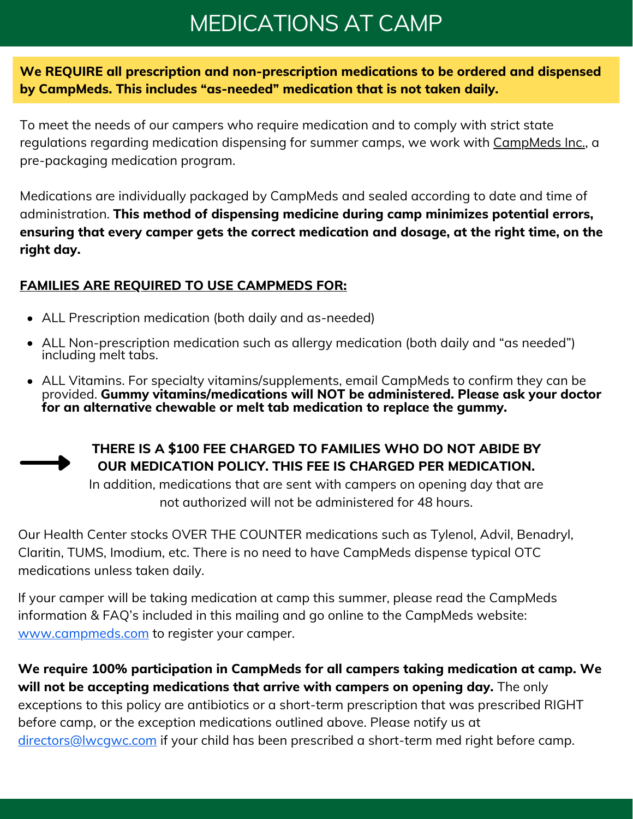## MEDICATIONS AT CAMP

We REQUIRE all prescription and non-prescription medications to be ordered and dispensed by CampMeds. This includes "as-needed" medication that is not taken daily.

To meet the needs of our campers who require medication and to comply with strict state regulations regarding medication dispensing for summer camps, we work with CampMeds Inc., a pre-packaging medication program.

Medications are individually packaged by CampMeds and sealed according to date and time of administration. This method of dispensing medicine during camp minimizes potential errors, ensuring that every camper gets the correct medication and dosage, at the right time, on the right day.

### FAMILIES ARE REQUIRED TO USE CAMPMEDS FOR:

- ALL Prescription medication (both daily and as-needed)
- ALL Non-prescription medication such as allergy medication (both daily and "as needed") including melt tabs.
- ALL Vitamins. For specialty vitamins/supplements, email CampMeds to confirm they can be provided. Gummy vitamins/medications will NOT be administered. Please ask your doctor for an alternative chewable or melt tab medication to replace the gummy.



### THERE IS A \$100 FEE CHARGED TO FAMILIES WHO DO NOT ABIDE BY OUR MEDICATION POLICY. THIS FEE IS CHARGED PER MEDICATION.

In addition, medications that are sent with campers on opening day that are not authorized will not be administered for 48 hours.

Our Health Center stocks OVER THE COUNTER medications such as Tylenol, Advil, Benadryl, Claritin, TUMS, Imodium, etc. There is no need to have CampMeds dispense typical OTC medications unless taken daily.

If your camper will be taking medication at camp this summer, please read the CampMeds information & FAQ's included in this mailing and go online to the CampMeds website: [www.campmeds.com](http://www.campmeds.com/) to register your camper.

We require 100% participation in CampMeds for all campers taking medication at camp. We will not be accepting medications that arrive with campers on opening day. The only exceptions to this policy are antibiotics or a short-term prescription that was prescribed RIGHT before camp, or the exception medications outlined above. Please notify us at directors@lwcgwc.com if your child has been prescribed a short-term med right before camp.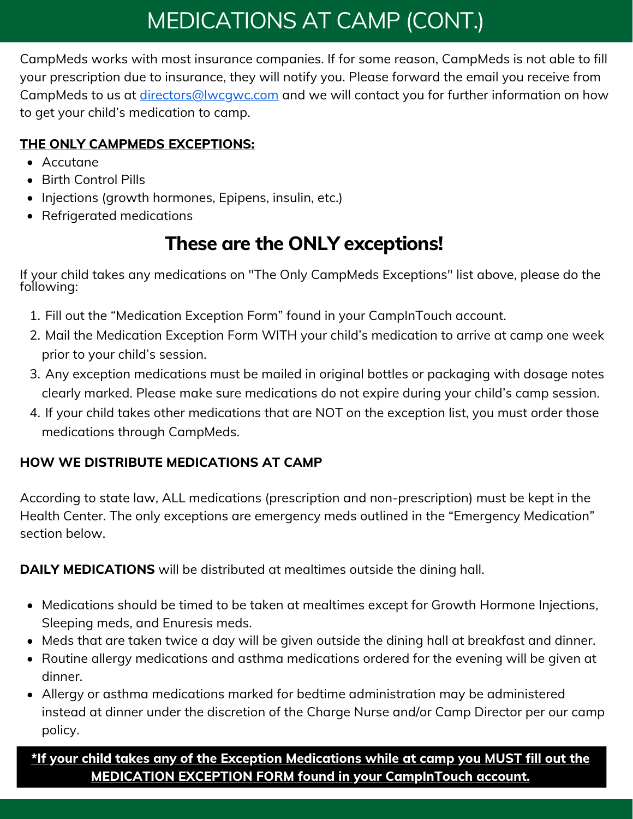# MEDICATIONS AT CAMP (CONT.)

CampMeds works with most insurance companies. If for some reason, CampMeds is not able to fill your prescription due to insurance, they will notify you. Please forward the email you receive from CampMeds to us at *[directors@lwcgwc.com](mailto:directors@lwcgwc.com)* and we will contact you for further information on how to get your child's medication to camp.

### THE ONLY CAMPMEDS EXCEPTIONS:

- Accutane
- Birth Control Pills
- Injections (growth hormones, Epipens, insulin, etc.)
- Refrigerated medications

## These are the ONLY exceptions!

If your child takes any medications on "The Only CampMeds Exceptions" list above, please do the following:

- Fill out the "Medication Exception Form" found in your CampInTouch account. 1.
- Mail the Medication Exception Form WITH your child's medication to arrive at camp one week 2. prior to your child's session.
- 3. Any exception medications must be mailed in original bottles or packaging with dosage notes clearly marked. Please make sure medications do not expire during your child's camp session.
- If your child takes other medications that are NOT on the exception list, you must order those 4. medications through CampMeds.

## HOW WE DISTRIBUTE MEDICATIONS AT CAMP

According to state law, ALL medications (prescription and non-prescription) must be kept in the Health Center. The only exceptions are emergency meds outlined in the "Emergency Medication" section below.

DAILY MEDICATIONS will be distributed at mealtimes outside the dining hall.

- Medications should be timed to be taken at mealtimes except for Growth Hormone Injections, Sleeping meds, and Enuresis meds.
- Meds that are taken twice a day will be given outside the dining hall at breakfast and dinner.
- Routine allergy medications and asthma medications ordered for the evening will be given at dinner.
- Allergy or asthma medications marked for bedtime administration may be administered instead at dinner under the discretion of the Charge Nurse and/or Camp Director per our camp policy.

\*If your child takes any of the Exception Medications while at camp you MUST fill out the MEDICATION EXCEPTION FORM found in your CampInTouch account.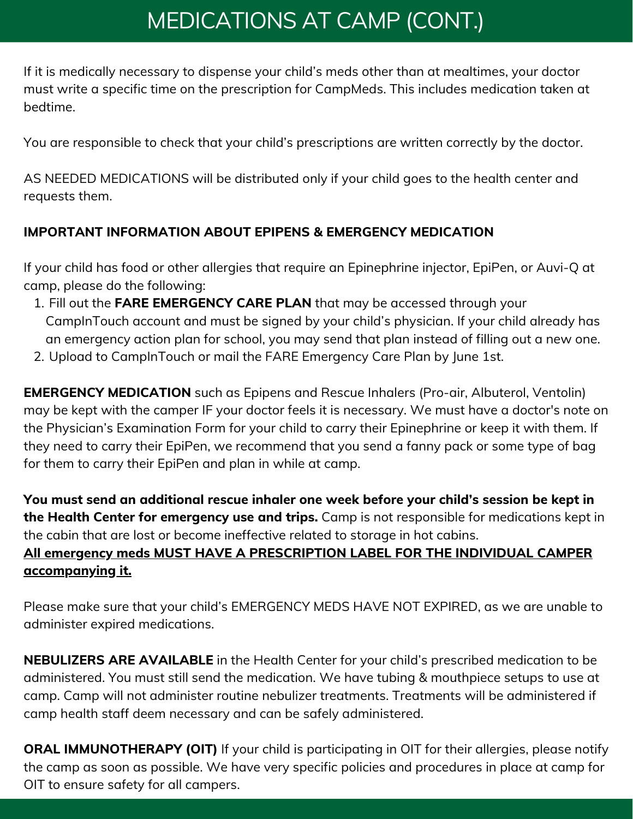# MEDICATIONS AT CAMP (CONT.)

If it is medically necessary to dispense your child's meds other than at mealtimes, your doctor must write a specific time on the prescription for CampMeds. This includes medication taken at bedtime.

You are responsible to check that your child's prescriptions are written correctly by the doctor.

AS NEEDED MEDICATIONS will be distributed only if your child goes to the health center and requests them.

## IMPORTANT INFORMATION ABOUT EPIPENS & EMERGENCY MEDICATION

If your child has food or other allergies that require an Epinephrine injector, EpiPen, or Auvi-Q at camp, please do the following:

- 1. Fill out the **FARE EMERGENCY CARE PLAN** that may be accessed through your CampInTouch account and must be signed by your child's physician. If your child already has an emergency action plan for school, you may send that plan instead of filling out a new one.
- 2. Upload to CampInTouch or mail the FARE Emergency Care Plan by June 1st.

**EMERGENCY MEDICATION** such as Epipens and Rescue Inhalers (Pro-air, Albuterol, Ventolin) may be kept with the camper IF your doctor feels it is necessary. We must have a doctor's note on the Physician's Examination Form for your child to carry their Epinephrine or keep it with them. If they need to carry their EpiPen, we recommend that you send a fanny pack or some type of bag for them to carry their EpiPen and plan in while at camp.

You must send an additional rescue inhaler one week before your child's session be kept in the Health Center for emergency use and trips. Camp is not responsible for medications kept in the cabin that are lost or become ineffective related to storage in hot cabins. All emergency meds MUST HAVE A PRESCRIPTION LABEL FOR THE INDIVIDUAL CAMPER accompanying it.

Please make sure that your child's EMERGENCY MEDS HAVE NOT EXPIRED, as we are unable to administer expired medications.

NEBULIZERS ARE AVAILABLE in the Health Center for your child's prescribed medication to be administered. You must still send the medication. We have tubing & mouthpiece setups to use at camp. Camp will not administer routine nebulizer treatments. Treatments will be administered if camp health staff deem necessary and can be safely administered.

**ORAL IMMUNOTHERAPY (OIT)** If your child is participating in OIT for their allergies, please notify the camp as soon as possible. We have very specific policies and procedures in place at camp for OIT to ensure safety for all campers.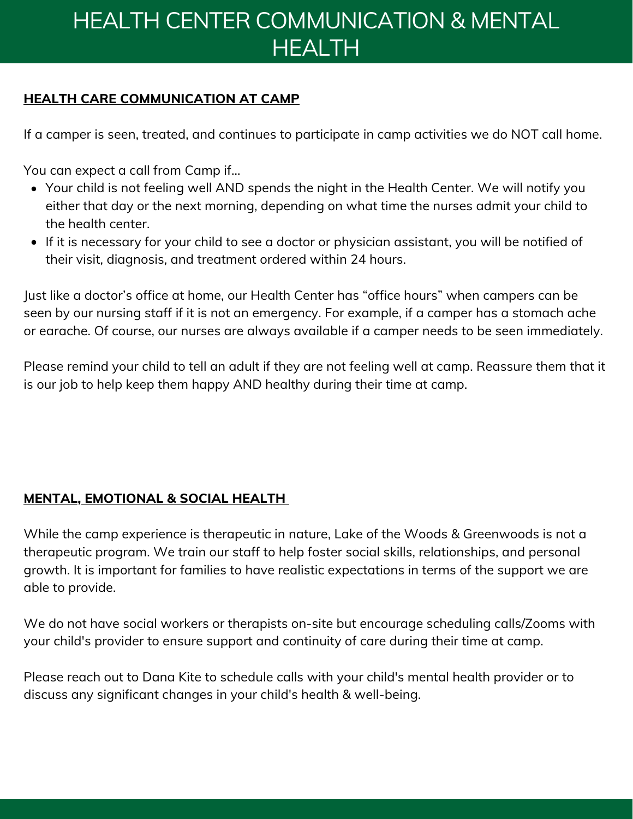# HEALTH CENTER COMMUNICATION & MENTAL **HEALTH**

### HEALTH CARE COMMUNICATION AT CAMP

If a camper is seen, treated, and continues to participate in camp activities we do NOT call home.

You can expect a call from Camp if…

- Your child is not feeling well AND spends the night in the Health Center. We will notify you either that day or the next morning, depending on what time the nurses admit your child to the health center.
- If it is necessary for your child to see a doctor or physician assistant, you will be notified of their visit, diagnosis, and treatment ordered within 24 hours.

Just like a doctor's office at home, our Health Center has "office hours" when campers can be seen by our nursing staff if it is not an emergency. For example, if a camper has a stomach ache or earache. Of course, our nurses are always available if a camper needs to be seen immediately.

Please remind your child to tell an adult if they are not feeling well at camp. Reassure them that it is our job to help keep them happy AND healthy during their time at camp.

### MENTAL, EMOTIONAL & SOCIAL HEALTH

While the camp experience is therapeutic in nature, Lake of the Woods & Greenwoods is not a therapeutic program. We train our staff to help foster social skills, relationships, and personal growth. It is important for families to have realistic expectations in terms of the support we are able to provide.

We do not have social workers or therapists on-site but encourage scheduling calls/Zooms with your child's provider to ensure support and continuity of care during their time at camp.

Please reach out to Dana Kite to schedule calls with your child's mental health provider or to discuss any significant changes in your child's health & well-being.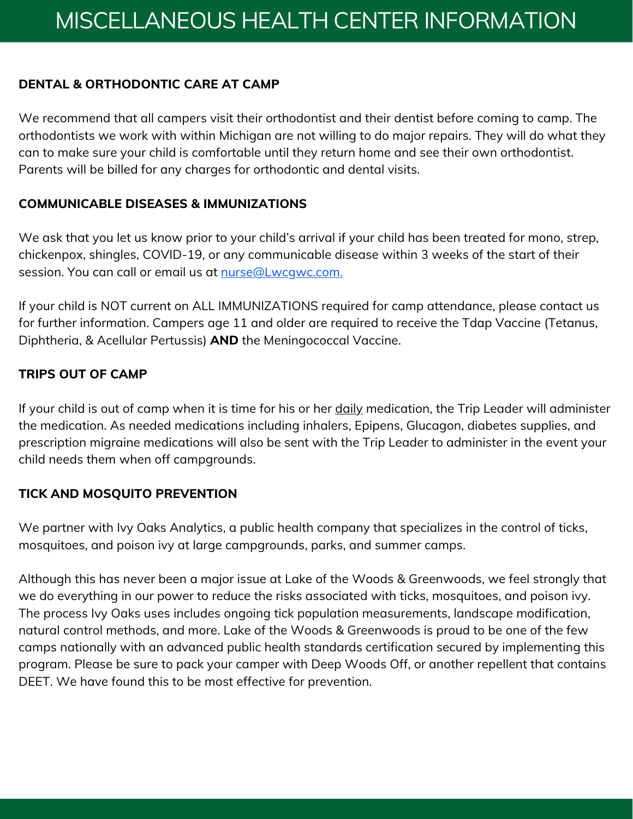#### DENTAL & ORTHODONTIC CARE AT CAMP

We recommend that all campers visit their orthodontist and their dentist before coming to camp. The orthodontists we work with within Michigan are not willing to do major repairs. They will do what they can to make sure your child is comfortable until they return home and see their own orthodontist. Parents will be billed for any charges for orthodontic and dental visits.

#### COMMUNICABLE DISEASES & IMMUNIZATIONS

We ask that you let us know prior to your child's arrival if your child has been treated for mono, strep, chickenpox, shingles, COVID-19, or any communicable disease within 3 weeks of the start of their session. You can call or email us at nurse@Lwcqwc.com.

If your child is NOT current on ALL IMMUNIZATIONS required for camp attendance, please contact us for further information. Campers age 11 and older are required to receive the Tdap Vaccine (Tetanus, Diphtheria, & Acellular Pertussis) AND the Meningococcal Vaccine.

#### TRIPS OUT OF CAMP

If your child is out of camp when it is time for his or her daily medication, the Trip Leader will administer the medication. As needed medications including inhalers, Epipens, Glucagon, diabetes supplies, and prescription migraine medications will also be sent with the Trip Leader to administer in the event your child needs them when off campgrounds.

#### TICK AND MOSQUITO PREVENTION

We partner with Ivy Oaks Analytics, a public health company that specializes in the control of ticks, mosquitoes, and poison ivy at large campgrounds, parks, and summer camps.

Although this has never been a major issue at Lake of the Woods & Greenwoods, we feel strongly that we do everything in our power to reduce the risks associated with ticks, mosquitoes, and poison ivy. The process Ivy Oaks uses includes ongoing tick population measurements, landscape modification, natural control methods, and more. Lake of the Woods & Greenwoods is proud to be one of the few camps nationally with an advanced public health standards certification secured by implementing this program. Please be sure to pack your camper with Deep Woods Off, or another repellent that contains DEET. We have found this to be most effective for prevention.